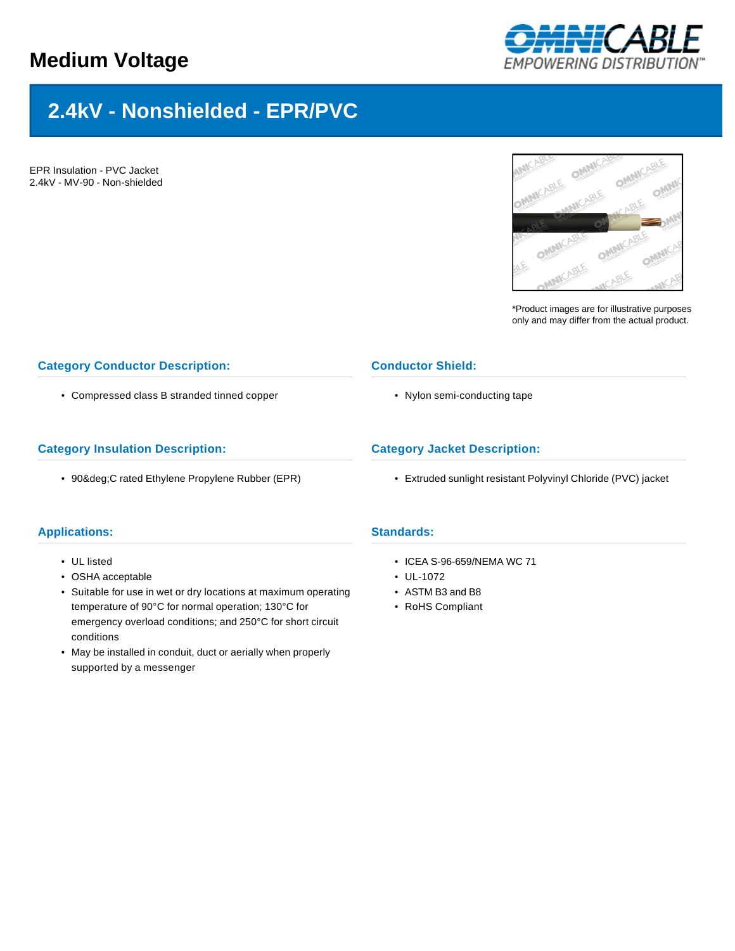# **Medium Voltage**



# **2.4kV - Nonshielded - EPR/PVC**

EPR Insulation - PVC Jacket 2.4kV - MV-90 - Non-shielded



\*Product images are for illustrative purposes only and may differ from the actual product.

## **Category Conductor Description:**

• Compressed class B stranded tinned copper

#### **Category Insulation Description:**

• 90°C rated Ethylene Propylene Rubber (EPR)



• Nylon semi-conducting tape

## **Category Jacket Description:**

• Extruded sunlight resistant Polyvinyl Chloride (PVC) jacket

#### **Applications:**

- UL listed
- OSHA acceptable
- Suitable for use in wet or dry locations at maximum operating temperature of 90°C for normal operation; 130°C for emergency overload conditions; and 250°C for short circuit conditions
- May be installed in conduit, duct or aerially when properly supported by a messenger

#### **Standards:**

- ICEA S-96-659/NEMA WC 71
- UL-1072
- ASTM B3 and B8
- RoHS Compliant